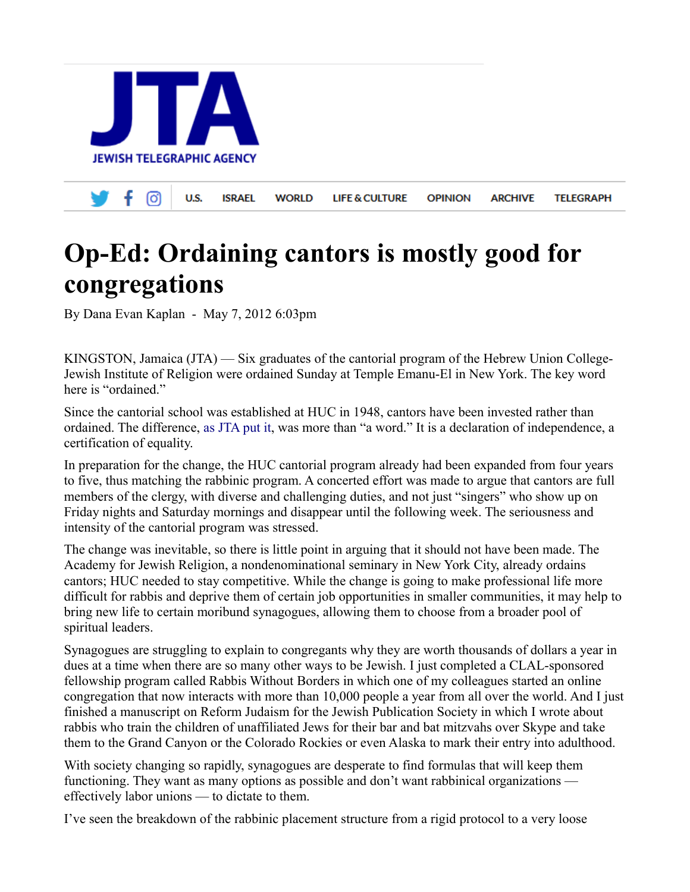

## **Op-Ed: Ordaining cantors is mostly good for congregations**

By Dana Evan Kaplan - May 7, 2012 6:03pm

KINGSTON, Jamaica (JTA) — Six graduates of the cantorial program of the Hebrew Union College-Jewish Institute of Religion were ordained Sunday at Temple Emanu-El in New York. The key word here is "ordained."

Since the cantorial school was established at HUC in 1948, cantors have been invested rather than ordained. The difference, [as JTA put it,](https://www.jta.org/news/article/2012/05/01/3094256/reform-movement-to-ordain-rather-than-invest-cantors-in-recognition-of-professional-status) was more than "a word." It is a declaration of independence, a certification of equality.

In preparation for the change, the HUC cantorial program already had been expanded from four years to five, thus matching the rabbinic program. A concerted effort was made to argue that cantors are full members of the clergy, with diverse and challenging duties, and not just "singers" who show up on Friday nights and Saturday mornings and disappear until the following week. The seriousness and intensity of the cantorial program was stressed.

The change was inevitable, so there is little point in arguing that it should not have been made. The Academy for Jewish Religion, a nondenominational seminary in New York City, already ordains cantors; HUC needed to stay competitive. While the change is going to make professional life more difficult for rabbis and deprive them of certain job opportunities in smaller communities, it may help to bring new life to certain moribund synagogues, allowing them to choose from a broader pool of spiritual leaders.

Synagogues are struggling to explain to congregants why they are worth thousands of dollars a year in dues at a time when there are so many other ways to be Jewish. I just completed a CLAL-sponsored fellowship program called Rabbis Without Borders in which one of my colleagues started an online congregation that now interacts with more than 10,000 people a year from all over the world. And I just finished a manuscript on Reform Judaism for the Jewish Publication Society in which I wrote about rabbis who train the children of unaffiliated Jews for their bar and bat mitzvahs over Skype and take them to the Grand Canyon or the Colorado Rockies or even Alaska to mark their entry into adulthood.

With society changing so rapidly, synagogues are desperate to find formulas that will keep them functioning. They want as many options as possible and don't want rabbinical organizations effectively labor unions — to dictate to them.

I've seen the breakdown of the rabbinic placement structure from a rigid protocol to a very loose